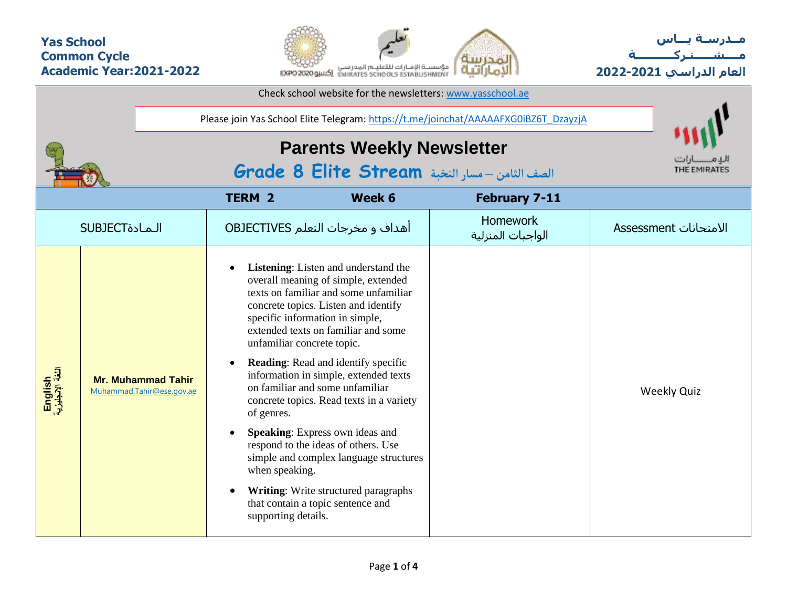## **Yas School Common Cycle Academic Year:2021-2022**



**مــدرسـة يـــاس مــــشـ ـــ ـتـ ركـ ــــــــــ ة العام الدراسي -2021 2022**

| Check school website for the newsletters: www.yasschool.ae |                |                                                        |                                                                                                             |                                                                                                                                                                                                                                                                                                                                                                                                                                                                                                                                                                                                               |                                      |                       |  |  |  |  |  |
|------------------------------------------------------------|----------------|--------------------------------------------------------|-------------------------------------------------------------------------------------------------------------|---------------------------------------------------------------------------------------------------------------------------------------------------------------------------------------------------------------------------------------------------------------------------------------------------------------------------------------------------------------------------------------------------------------------------------------------------------------------------------------------------------------------------------------------------------------------------------------------------------------|--------------------------------------|-----------------------|--|--|--|--|--|
|                                                            |                |                                                        | Please join Yas School Elite Telegram: https://t.me/joinchat/AAAAAFXG0iBZ6T_DzayzjA                         |                                                                                                                                                                                                                                                                                                                                                                                                                                                                                                                                                                                                               |                                      |                       |  |  |  |  |  |
|                                                            |                |                                                        | <b>Parents Weekly Newsletter</b><br>الصف الثامن -مسار النخبة Grade 8 Elite Stream                           | THE EMIRATES                                                                                                                                                                                                                                                                                                                                                                                                                                                                                                                                                                                                  |                                      |                       |  |  |  |  |  |
|                                                            |                |                                                        |                                                                                                             |                                                                                                                                                                                                                                                                                                                                                                                                                                                                                                                                                                                                               |                                      |                       |  |  |  |  |  |
|                                                            | <b>SUBJECT</b> |                                                        |                                                                                                             | أهداف و مخرجات التعلم OBJECTIVES                                                                                                                                                                                                                                                                                                                                                                                                                                                                                                                                                                              | <b>Homework</b><br>الواجبات المنزلية | الامتحانات Assessment |  |  |  |  |  |
| English<br>اللغة الإنجليزية                                |                | <b>Mr. Muhammad Tahir</b><br>Muhammad.Tahir@ese.gov.ae | unfamiliar concrete topic.<br>$\bullet$<br>of genres.<br>$\bullet$<br>when speaking.<br>supporting details. | <b>Listening:</b> Listen and understand the<br>overall meaning of simple, extended<br>texts on familiar and some unfamiliar<br>concrete topics. Listen and identify<br>specific information in simple,<br>extended texts on familiar and some<br>Reading: Read and identify specific<br>information in simple, extended texts<br>on familiar and some unfamiliar<br>concrete topics. Read texts in a variety<br>Speaking: Express own ideas and<br>respond to the ideas of others. Use<br>simple and complex language structures<br>Writing: Write structured paragraphs<br>that contain a topic sentence and |                                      | <b>Weekly Quiz</b>    |  |  |  |  |  |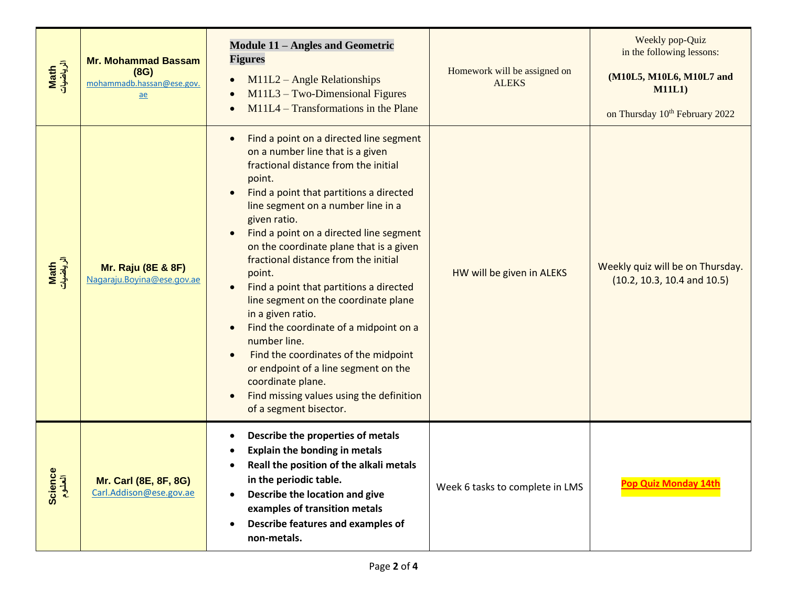| Math<br>الرياضيات | <b>Mr. Mohammad Bassam</b><br>(8G)<br>mohammadb.hassan@ese.gov.<br>ae | <b>Module 11 - Angles and Geometric</b><br><b>Figures</b><br>M11L2 - Angle Relationships<br>$M11L3 - Two-Dimensional Figures$<br>$M11L4 - Transformations$ in the Plane                                                                                                                                                                                                                                                                                                                                                                                                                                                                                                                                                                                                 | Homework will be assigned on<br><b>ALEKS</b> | Weekly pop-Quiz<br>in the following lessons:<br>(M10L5, M10L6, M10L7 and<br>M11L1<br>on Thursday 10 <sup>th</sup> February 2022 |
|-------------------|-----------------------------------------------------------------------|-------------------------------------------------------------------------------------------------------------------------------------------------------------------------------------------------------------------------------------------------------------------------------------------------------------------------------------------------------------------------------------------------------------------------------------------------------------------------------------------------------------------------------------------------------------------------------------------------------------------------------------------------------------------------------------------------------------------------------------------------------------------------|----------------------------------------------|---------------------------------------------------------------------------------------------------------------------------------|
| Math<br>الرياضيات | <b>Mr. Raju (8E &amp; 8F)</b><br>Nagaraju. Boyina@ese.gov.ae          | Find a point on a directed line segment<br>$\bullet$<br>on a number line that is a given<br>fractional distance from the initial<br>point.<br>Find a point that partitions a directed<br>line segment on a number line in a<br>given ratio.<br>Find a point on a directed line segment<br>$\bullet$<br>on the coordinate plane that is a given<br>fractional distance from the initial<br>point.<br>Find a point that partitions a directed<br>$\bullet$<br>line segment on the coordinate plane<br>in a given ratio.<br>Find the coordinate of a midpoint on a<br>number line.<br>Find the coordinates of the midpoint<br>$\bullet$<br>or endpoint of a line segment on the<br>coordinate plane.<br>Find missing values using the definition<br>of a segment bisector. | HW will be given in ALEKS                    | Weekly quiz will be on Thursday.<br>$(10.2, 10.3, 10.4$ and $10.5)$                                                             |
| Science<br>العلوم | <b>Mr. Carl (8E, 8F, 8G)</b><br>Carl.Addison@ese.gov.ae               | Describe the properties of metals<br><b>Explain the bonding in metals</b><br>Reall the position of the alkali metals<br>in the periodic table.<br>Describe the location and give<br>$\bullet$<br>examples of transition metals<br>Describe features and examples of<br>$\bullet$<br>non-metals.                                                                                                                                                                                                                                                                                                                                                                                                                                                                         | Week 6 tasks to complete in LMS              | <b>Pop Quiz Monday 14t</b>                                                                                                      |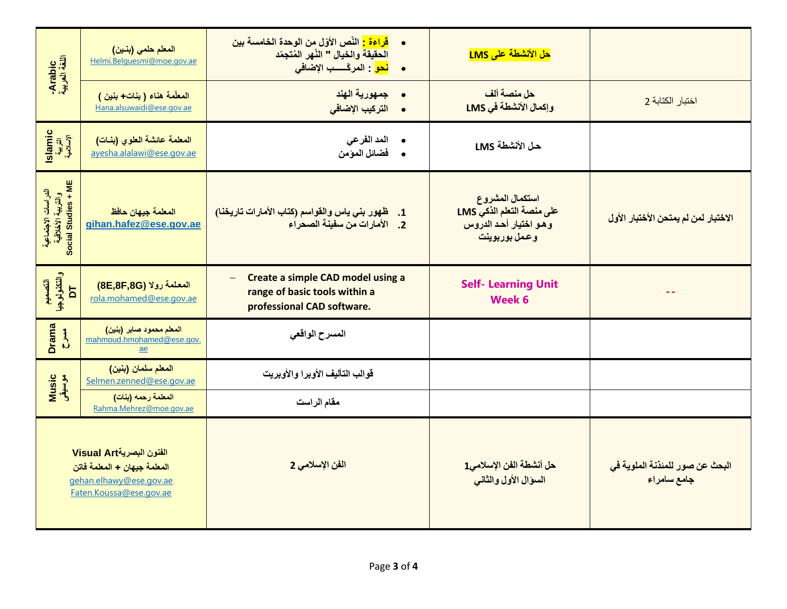| Arabic<br>اللغة العربية                                          | المعلم حلمي (بنين)<br>Helmi.Belquesmi@moe.gov.ae                                                               | <mark>قراءة :</mark> النّص الأوّل من الوحدة الخامسة بين<br>$\bullet$<br>الحقيقة والخيال " النّهر المُتجمّد<br>• <mark>نحو</mark> : المركّســب الإضاف <i>ى</i> | حل الأنشطة على LMS                                                                     |                                                |
|------------------------------------------------------------------|----------------------------------------------------------------------------------------------------------------|---------------------------------------------------------------------------------------------------------------------------------------------------------------|----------------------------------------------------------------------------------------|------------------------------------------------|
|                                                                  | المعلّمة هناء ( بنات+ بنين )<br>Hana.alsuwaidi@ese.gov.ae                                                      | • جمهورية الهند<br>التركيب الإضافي                                                                                                                            | حل منصة ألف<br>وإكمال الأنشطة في LMS                                                   | اختبار الكتابة 2                               |
| Islamic<br>التربية<br>الإسلامية                                  | المعلمة عائشة العلوى (بنات)<br>ayesha.alalawi@ese.gov.ae                                                       | المد الفرعى<br>فضائل المؤمن                                                                                                                                   | حل الأنشطة LMS                                                                         |                                                |
| الدراسات الاجتماعية<br>والتربية الأخلاقية<br>Social Studies + ME | المعلمة جيهان حافظ<br>gihan.hafez@ese.gov.ae                                                                   | طهور بني ياس والقواسم (كتاب الأمارات تاريخنا)<br>$\cdot$ 1<br>2. الأمارات من سفينة الصحراء                                                                    | استكمال المشروع<br>على منصة التعلم الذكي LMS<br>وهو اختيار أحد الدروس<br>وعمل بوربوينت | الاختبار لمن لم يمتحن الأختبار الأول           |
| والتكنولوجيا<br>DT<br>التصعيم                                    | المعلمة رولا (8E,8F,8G)<br>rola.mohamed@ese.gov.ae                                                             | Create a simple CAD model using a<br>$\equiv$<br>range of basic tools within a<br>professional CAD software.                                                  | <b>Self- Learning Unit</b><br><b>Week 6</b>                                            |                                                |
| <b>Drama</b><br>$rac{4}{5}$                                      | المعلم محمود صابر (بنين)<br>mahmoud.hmohamed@ese.gov.<br>$\underline{ae}$                                      | المسرح الواقعى                                                                                                                                                |                                                                                        |                                                |
| <b>Music</b><br>موسيقى                                           | المعلم سلمان (بنين)<br>Selmen.zenned@ese.gov.ae                                                                | قوالب التأليف الأوبرا والأوبريت                                                                                                                               |                                                                                        |                                                |
|                                                                  | المعلمة رحمه (بنات)<br>Rahma.Mehrez@moe.gov.ae                                                                 | مقام الراست                                                                                                                                                   |                                                                                        |                                                |
|                                                                  | الفنون البصريةVisual Art<br>المعلمة جيهان + المعلمة فاتن<br>gehan.elhawy@ese.gov.ae<br>Faten.Koussa@ese.gov.ae | الفن الإسلامي 2                                                                                                                                               | حل أنشطة الفن الإسلامي1<br>السؤال الأول والثانى                                        | البحث عن صور للمئذنة الملوية في<br>جامع سامراء |